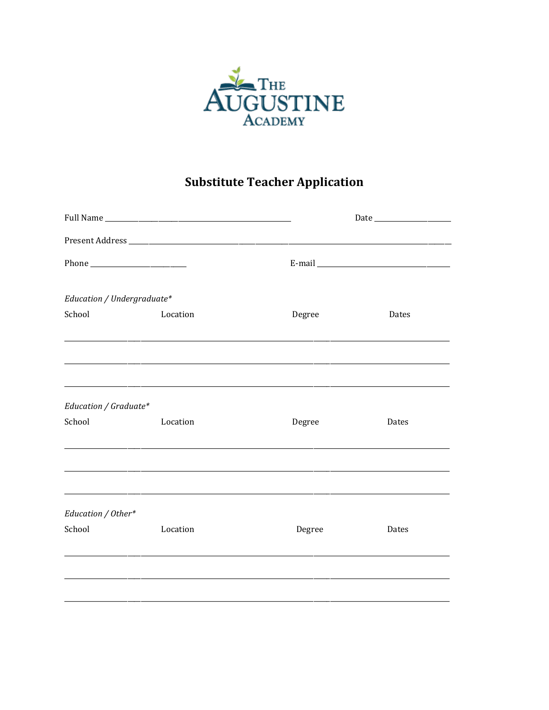

# **Substitute Teacher Application**

|                            |          | Date ___________________                                                         |       |  |
|----------------------------|----------|----------------------------------------------------------------------------------|-------|--|
|                            |          |                                                                                  |       |  |
|                            |          |                                                                                  |       |  |
| Education / Undergraduate* |          |                                                                                  |       |  |
| School                     | Location | Degree                                                                           | Dates |  |
|                            |          | ,我们也不能在这里的时候,我们也不能在这里的时候,我们也不能在这里的时候,我们也不能会不能在这里的时候,我们也不能会不能会不能会不能会不能会不能会不能会不能会不 |       |  |
| Education / Graduate*      |          |                                                                                  |       |  |
| School                     | Location | Degree                                                                           | Dates |  |
|                            |          |                                                                                  |       |  |
| Education / Other*         |          |                                                                                  |       |  |
| School                     | Location | Degree                                                                           | Dates |  |
|                            |          |                                                                                  |       |  |
|                            |          |                                                                                  |       |  |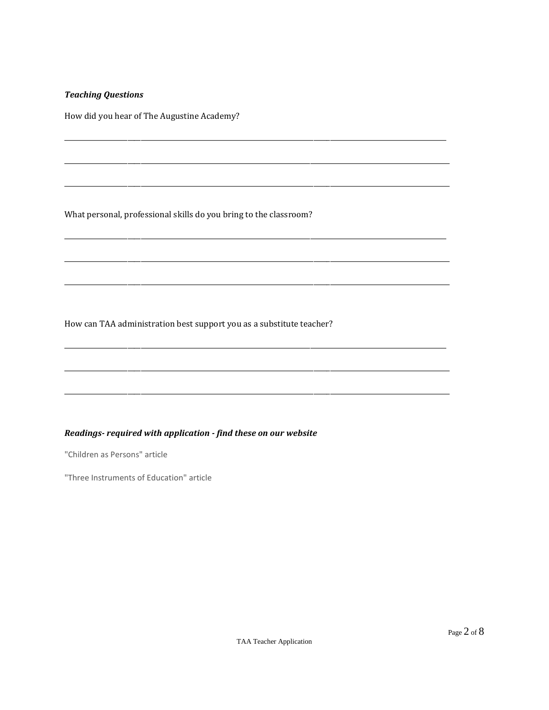#### **Teaching Questions**

How did you hear of The Augustine Academy?

What personal, professional skills do you bring to the classroom?

How can TAA administration best support you as a substitute teacher?

#### Readings-required with application - find these on our website

"Children as Persons" article

"Three Instruments of Education" article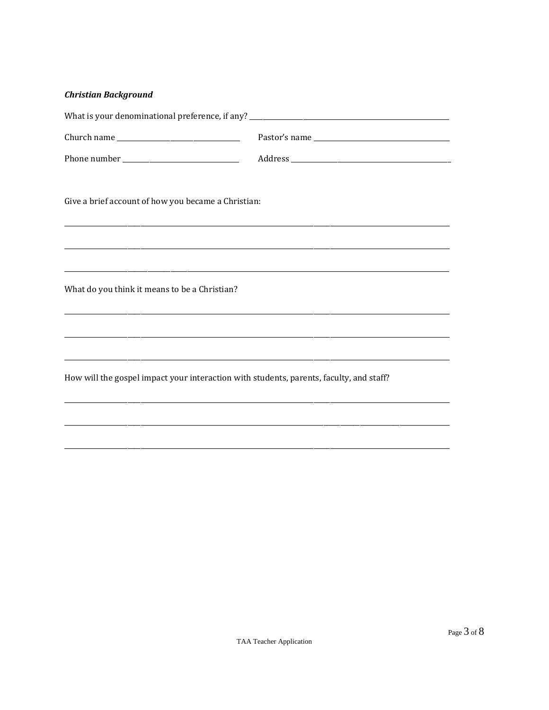| <b>Christian Background</b>                                                             |                                                                                                                                                                       |  |
|-----------------------------------------------------------------------------------------|-----------------------------------------------------------------------------------------------------------------------------------------------------------------------|--|
|                                                                                         |                                                                                                                                                                       |  |
|                                                                                         |                                                                                                                                                                       |  |
|                                                                                         |                                                                                                                                                                       |  |
| Give a brief account of how you became a Christian:                                     |                                                                                                                                                                       |  |
|                                                                                         | ,我们也不能在这里的时候,我们也不能在这里的时候,我们也不能在这里的时候,我们也不能会不能会不能会不能会不能会不能会不能会不能会。<br>第2012章 我们的时候,我们的时候,我们的时候,我们的时候,我们的时候,我们的时候,我们的时候,我们的时候,我们的时候,我们的时候,我们的时候,我们的时候,我                 |  |
| What do you think it means to be a Christian?                                           |                                                                                                                                                                       |  |
|                                                                                         | ,我们也不能在这里的人,我们也不能在这里的人,我们也不能在这里的人,我们也不能在这里的人,我们也不能在这里的人,我们也不能在这里的人,我们也不能在这里的人,我们也<br>,我们也不能会在这里,我们的人们也不能会在这里,我们也不能会在这里,我们也不能会在这里,我们也不能会在这里,我们也不能会在这里,我们也不能会在这里,我们也不能会 |  |
| How will the gospel impact your interaction with students, parents, faculty, and staff? |                                                                                                                                                                       |  |
|                                                                                         |                                                                                                                                                                       |  |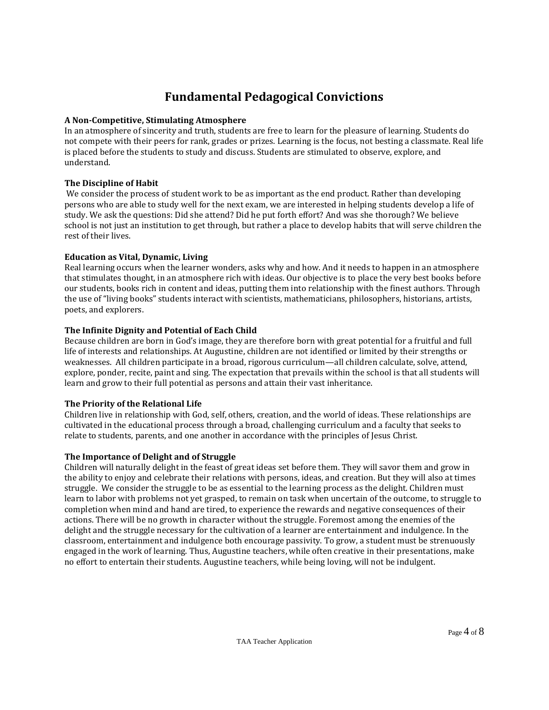## **Fundamental Pedagogical Convictions**

#### **A Non-Competitive, Stimulating Atmosphere**

In an atmosphere of sincerity and truth, students are free to learn for the pleasure of learning. Students do not compete with their peers for rank, grades or prizes. Learning is the focus, not besting a classmate. Real life is placed before the students to study and discuss. Students are stimulated to observe, explore, and understand.

#### **The Discipline of Habit**

We consider the process of student work to be as important as the end product. Rather than developing persons who are able to study well for the next exam, we are interested in helping students develop a life of study. We ask the questions: Did she attend? Did he put forth effort? And was she thorough? We believe school is not just an institution to get through, but rather a place to develop habits that will serve children the rest of their lives.

#### **Education as Vital, Dynamic, Living**

Real learning occurs when the learner wonders, asks why and how. And it needs to happen in an atmosphere that stimulates thought, in an atmosphere rich with ideas. Our objective is to place the very best books before our students, books rich in content and ideas, putting them into relationship with the finest authors. Through the use of "living books" students interact with scientists, mathematicians, philosophers, historians, artists, poets, and explorers.

#### **The Infinite Dignity and Potential of Each Child**

Because children are born in God's image, they are therefore born with great potential for a fruitful and full life of interests and relationships. At Augustine, children are not identified or limited by their strengths or weaknesses. All children participate in a broad, rigorous curriculum—all children calculate, solve, attend, explore, ponder, recite, paint and sing. The expectation that prevails within the school is that all students will learn and grow to their full potential as persons and attain their vast inheritance.

#### **The Priority of the Relational Life**

Children live in relationship with God, self, others, creation, and the world of ideas. These relationships are cultivated in the educational process through a broad, challenging curriculum and a faculty that seeks to relate to students, parents, and one another in accordance with the principles of Jesus Christ.

#### **The Importance of Delight and of Struggle**

Children will naturally delight in the feast of great ideas set before them. They will savor them and grow in the ability to enjoy and celebrate their relations with persons, ideas, and creation. But they will also at times struggle. We consider the struggle to be as essential to the learning process as the delight. Children must learn to labor with problems not yet grasped, to remain on task when uncertain of the outcome, to struggle to completion when mind and hand are tired, to experience the rewards and negative consequences of their actions. There will be no growth in character without the struggle. Foremost among the enemies of the delight and the struggle necessary for the cultivation of a learner are entertainment and indulgence. In the classroom, entertainment and indulgence both encourage passivity. To grow, a student must be strenuously engaged in the work of learning. Thus, Augustine teachers, while often creative in their presentations, make no effort to entertain their students. Augustine teachers, while being loving, will not be indulgent.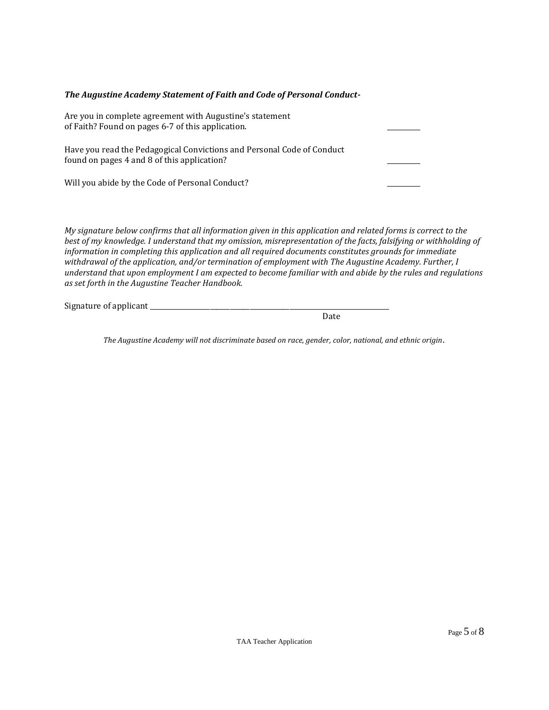|  |  | The Augustine Academy Statement of Faith and Code of Personal Conduct- |
|--|--|------------------------------------------------------------------------|

| Are you in complete agreement with Augustine's statement<br>of Faith? Found on pages 6-7 of this application.         |  |
|-----------------------------------------------------------------------------------------------------------------------|--|
| Have you read the Pedagogical Convictions and Personal Code of Conduct<br>found on pages 4 and 8 of this application? |  |
| Will you abide by the Code of Personal Conduct?                                                                       |  |

*My signature below confirms that all information given in this application and related forms is correct to the*  best of my knowledge. I understand that my omission, misrepresentation of the facts, falsifying or withholding of *information in completing this application and all required documents constitutes grounds for immediate withdrawal of the application, and/or termination of employment with The Augustine Academy. Further, I understand that upon employment I am expected to become familiar with and abide by the rules and regulations as set forth in the Augustine Teacher Handbook.* 

Signature of applicant \_\_\_\_\_\_\_\_\_\_\_\_\_\_\_\_\_\_\_\_\_\_\_\_\_\_\_\_\_\_\_\_\_\_\_\_\_\_\_\_\_\_\_\_\_\_\_\_\_\_\_\_\_\_\_\_\_\_\_\_\_\_\_\_\_\_\_\_\_\_\_\_

Date

*The Augustine Academy will not discriminate based on race, gender, color, national, and ethnic origin*.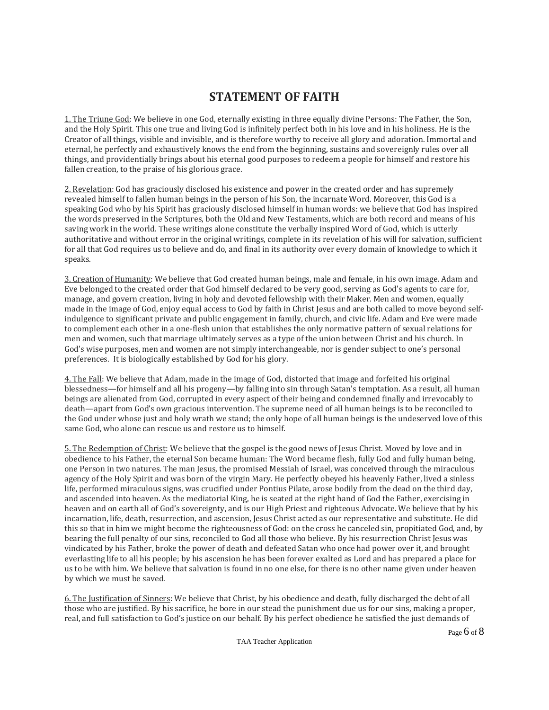### **STATEMENT OF FAITH**

1. The Triune God: We believe in one God, eternally existing in three equally divine Persons: The Father, the Son, and the Holy Spirit. This one true and living God is infinitely perfect both in his love and in his holiness. He is the Creator of all things, visible and invisible, and is therefore worthy to receive all glory and adoration. Immortal and eternal, he perfectly and exhaustively knows the end from the beginning, sustains and sovereignly rules over all things, and providentially brings about his eternal good purposes to redeem a people for himself and restore his fallen creation, to the praise of his glorious grace.

2. Revelation: God has graciously disclosed his existence and power in the created order and has supremely revealed himself to fallen human beings in the person of his Son, the incarnate Word. Moreover, this God is a speaking God who by his Spirit has graciously disclosed himself in human words: we believe that God has inspired the words preserved in the Scriptures, both the Old and New Testaments, which are both record and means of his saving work in the world. These writings alone constitute the verbally inspired Word of God, which is utterly authoritative and without error in the original writings, complete in its revelation of his will for salvation, sufficient for all that God requires us to believe and do, and final in its authority over every domain of knowledge to which it speaks.

3. Creation of Humanity: We believe that God created human beings, male and female, in his own image. Adam and Eve belonged to the created order that God himself declared to be very good, serving as God's agents to care for, manage, and govern creation, living in holy and devoted fellowship with their Maker. Men and women, equally made in the image of God, enjoy equal access to God by faith in Christ Jesus and are both called to move beyond selfindulgence to significant private and public engagement in family, church, and civic life. Adam and Eve were made to complement each other in a one-flesh union that establishes the only normative pattern of sexual relations for men and women, such that marriage ultimately serves as a type of the union between Christ and his church. In God's wise purposes, men and women are not simply interchangeable, nor is gender subject to one's personal preferences. It is biologically established by God for his glory.

4. The Fall: We believe that Adam, made in the image of God, distorted that image and forfeited his original blessedness—for himself and all his progeny—by falling into sin through Satan's temptation. As a result, all human beings are alienated from God, corrupted in every aspect of their being and condemned finally and irrevocably to death—apart from God's own gracious intervention. The supreme need of all human beings is to be reconciled to the God under whose just and holy wrath we stand; the only hope of all human beings is the undeserved love of this same God, who alone can rescue us and restore us to himself.

5. The Redemption of Christ: We believe that the gospel is the good news of Jesus Christ. Moved by love and in obedience to his Father, the eternal Son became human: The Word became flesh, fully God and fully human being, one Person in two natures. The man Jesus, the promised Messiah of Israel, was conceived through the miraculous agency of the Holy Spirit and was born of the virgin Mary. He perfectly obeyed his heavenly Father, lived a sinless life, performed miraculous signs, was crucified under Pontius Pilate, arose bodily from the dead on the third day, and ascended into heaven. As the mediatorial King, he is seated at the right hand of God the Father, exercising in heaven and on earth all of God's sovereignty, and is our High Priest and righteous Advocate. We believe that by his incarnation, life, death, resurrection, and ascension, Jesus Christ acted as our representative and substitute. He did this so that in him we might become the righteousness of God: on the cross he canceled sin, propitiated God, and, by bearing the full penalty of our sins, reconciled to God all those who believe. By his resurrection Christ Jesus was vindicated by his Father, broke the power of death and defeated Satan who once had power over it, and brought everlasting life to all his people; by his ascension he has been forever exalted as Lord and has prepared a place for us to be with him. We believe that salvation is found in no one else, for there is no other name given under heaven by which we must be saved.

6. The Justification of Sinners: We believe that Christ, by his obedience and death, fully discharged the debt of all those who are justified. By his sacrifice, he bore in our stead the punishment due us for our sins, making a proper, real, and full satisfaction to God's justice on our behalf. By his perfect obedience he satisfied the just demands of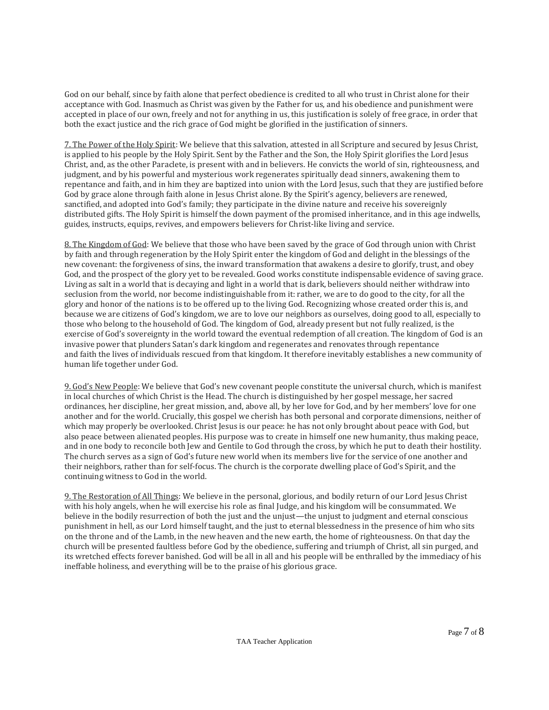God on our behalf, since by faith alone that perfect obedience is credited to all who trust in Christ alone for their acceptance with God. Inasmuch as Christ was given by the Father for us, and his obedience and punishment were accepted in place of our own, freely and not for anything in us, this justification is solely of free grace, in order that both the exact justice and the rich grace of God might be glorified in the justification of sinners.

7. The Power of the Holy Spirit: We believe that this salvation, attested in all Scripture and secured by Jesus Christ, is applied to his people by the Holy Spirit. Sent by the Father and the Son, the Holy Spirit glorifies the Lord Jesus Christ, and, as the other Paraclete, is present with and in believers. He convicts the world of sin, righteousness, and judgment, and by his powerful and mysterious work regenerates spiritually dead sinners, awakening them to repentance and faith, and in him they are baptized into union with the Lord Jesus, such that they are justified before God by grace alone through faith alone in Jesus Christ alone. By the Spirit's agency, believers are renewed, sanctified, and adopted into God's family; they participate in the divine nature and receive his sovereignly distributed gifts. The Holy Spirit is himself the down payment of the promised inheritance, and in this age indwells, guides, instructs, equips, revives, and empowers believers for Christ-like living and service.

8. The Kingdom of God: We believe that those who have been saved by the grace of God through union with Christ by faith and through regeneration by the Holy Spirit enter the kingdom of God and delight in the blessings of the new covenant: the forgiveness of sins, the inward transformation that awakens a desire to glorify, trust, and obey God, and the prospect of the glory yet to be revealed. Good works constitute indispensable evidence of saving grace. Living as salt in a world that is decaying and light in a world that is dark, believers should neither withdraw into seclusion from the world, nor become indistinguishable from it: rather, we are to do good to the city, for all the glory and honor of the nations is to be offered up to the living God. Recognizing whose created order this is, and because we are citizens of God's kingdom, we are to love our neighbors as ourselves, doing good to all, especially to those who belong to the household of God. The kingdom of God, already present but not fully realized, is the exercise of God's sovereignty in the world toward the eventual redemption of all creation. The kingdom of God is an invasive power that plunders Satan's dark kingdom and regenerates and renovates through repentance and faith the lives of individuals rescued from that kingdom. It therefore inevitably establishes a new community of human life together under God.

9. God's New People: We believe that God's new covenant people constitute the universal church, which is manifest in local churches of which Christ is the Head. The church is distinguished by her gospel message, her sacred ordinances, her discipline, her great mission, and, above all, by her love for God, and by her members' love for one another and for the world. Crucially, this gospel we cherish has both personal and corporate dimensions, neither of which may properly be overlooked. Christ Jesus is our peace: he has not only brought about peace with God, but also peace between alienated peoples. His purpose was to create in himself one new humanity, thus making peace, and in one body to reconcile both Jew and Gentile to God through the cross, by which he put to death their hostility. The church serves as a sign of God's future new world when its members live for the service of one another and their neighbors, rather than for self-focus. The church is the corporate dwelling place of God's Spirit, and the continuing witness to God in the world.

9. The Restoration of All Things: We believe in the personal, glorious, and bodily return of our Lord Jesus Christ with his holy angels, when he will exercise his role as final Judge, and his kingdom will be consummated. We believe in the bodily resurrection of both the just and the unjust—the unjust to judgment and eternal conscious punishment in hell, as our Lord himself taught, and the just to eternal blessedness in the presence of him who sits on the throne and of the Lamb, in the new heaven and the new earth, the home of righteousness. On that day the church will be presented faultless before God by the obedience, suffering and triumph of Christ, all sin purged, and its wretched effects forever banished. God will be all in all and his people will be enthralled by the immediacy of his ineffable holiness, and everything will be to the praise of his glorious grace.